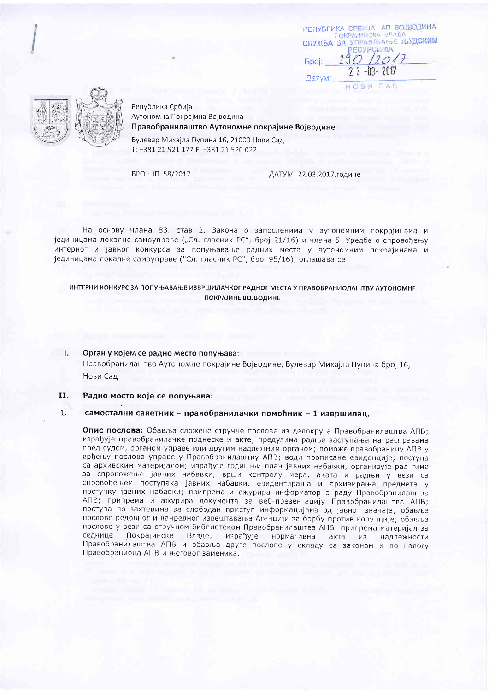РЕПУБЛИКА СРБИЈА - АП ВОЈБОДИНА ПОКРАЛИНСКА ВЛАДА СЛУЖБА ЗА УПРАЕЛЬАНЬЕ ЉУДСКИМ PECYPOWMA  $190/2017$ **Finoi:**  $22 - 03 - 2017$ Датум:

HORM CAB



Република Србија Аутономна Покрајина Војводина Правобранилаштво Аутономне покрајине Војводине

Булевар Михајла Пупина 16, 21000 Нови Сад T: +381 21 521 177 F: +381 21 520 022

БРОЈ: JП. 58/2017

ДАТУМ: 22.03.2017. године

На основу члана 83. став 2. Закона о запосленима у аутономним покрајинама и јединицама локалне самоуправе ("Сл. гласник РС", број 21/16) и члана 5. Уредбе о спровођењу интерног и јавног конкурса за попуњавање радних места у аутономним покрајинама и јединицама локалне самоуправе ("Сл. гласник РС", број 95/16), оглашава се

ИНТЕРНИ КОНКУРС ЗА ПОПУЊАВАЊЕ ИЗВРШИЛАЧКОГ РАДНОГ МЕСТА У ПРАВОБРАНИОЛАШТВУ АУТОНОМНЕ ПОКРАЈИНЕ ВОЈВОДИНЕ

## Орган у којем се радно место попуњава: 1.

Правобранилаштво Аутономне покрајине Војводине, Булевар Михајла Пупина број 16. Нови Сад

#### II. Радно место које се попуњава:

### $1.$ самостални саветник - правобранилачки помоћник - 1 извршилац,

Опис послова: Обавља сложене стручне послове из делокруга Правобранилаштва АПВ: израђује правобранилачке поднеске и акте; предузима радње заступања на расправама пред судом, органом управе или другим надлежним органом; поможе правобраницу АПВ у врђењу послова управе у Правобранилаштву АПВ; води прописане евиденције; поступа са архивским материјалом; израђује годишњи план јавних набавки, организује рад тима за спровожење јавних набавки, врши контролу мера, аката и радњи у вези са спровођењем поступака јавних набавки, евидентирања и архивирања предмета у поступку јавних набавки; припрема и ажурира информатор о раду Правобранилаштва АПВ; припрема и ажурира документа за веб-презентацију Правобранилаштва АПВ; поступа по захтевима за слободан приступ информацијама од јавног значаја; обавља послове редовног и ванредног извештавања Агенцији за борбу против корупције; обавља послове у вези са стручном библиотеком Правобранилаштва АПВ; припрема материјал за седнице Покрајинске Владе; израђује нормативна акта из надлежности Правобранилаштва АПВ и обавља друге послове у складу са законом и по налогу Правобраниоца АПВ и његовог заменика.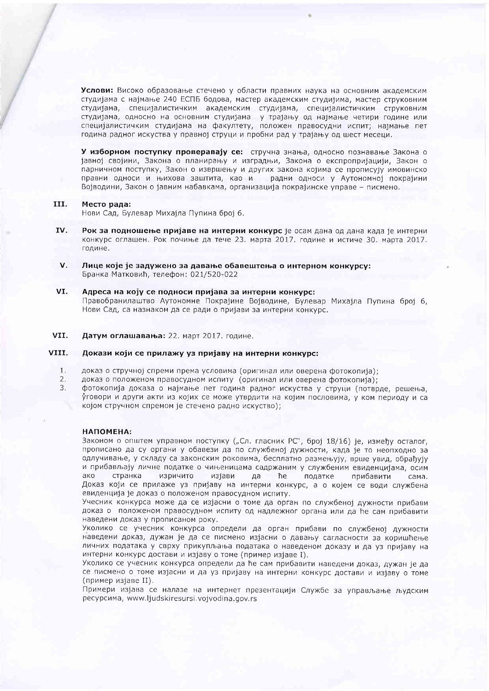Услови: Високо образовање стечено у области правних наука на основним академским студијама с најмање 240 ЕСПБ бодова, мастер академским студијима, мастер струковним студијама, специјалистичким академским студијама, специјалистичким струковним студијама, односно на основним студијама у трајању од најмање четири године или специјалистичким студијама на факултету, положен правосудни испит; најмање пет година радног искуства у правној струци и пробни рад у трајању од шест месеци.

У изборном поступку проверавају се: стручна знања, односно познавање Закона о јавној својини, Закона о планирању и изградњи, Закона о експропријацији, Закон о парничном поступку, Закон о извршењу и других закона којима се прописују имовинско правни односи и њихова заштита, као и радни односи у Аутономној покрајини Војводини, Закон о јавним набавкама, организација покрајинске управе - писмено.

#### III. Место рада:

Нови Сад, Булевар Михајла Пупина број 6.

- IV. Рок за подношење пријаве на интерни конкурс је осам дана од дана када је интерни конкурс оглашен. Рок почиње да тече 23. марта 2017. године и истиче 30. марта 2017. године.
- $V_{\star}$ Лице које је задужено за давање обавештења о интерном конкурсу: Бранка Матковић, телефон: 021/520-022
- VI. Адреса на коју се подноси пријава за интерни конкурс: Правобранилаштво Аутономне Покрајине Војводине, Булевар Михајла Пупина број 6, Нови Сад, са назнаком да се ради о пријави за интерни конкурс.

VII. Датум оглашавања: 22. март 2017. године.

#### VIII. Докази који се прилажу уз пријаву на интерни конкурс:

- $1.$ доказ о стручној спреми према условима (оригинал или оверена фотокопија);
- доказ о положеном правосудном испиту (оригинал или оверена фотокопија);  $2.$
- $3.$ фотокопија доказа о најмање пет година радног искуства у струци (потврде, решења, уговори и други акти из којих се може утврдити на којим пословима, у ком периоду и са којом стручном спремом је стечено радно искуство);

# НАПОМЕНА:

Законом о општем управном поступку ("Сл. гласник РС", број 18/16) је, између осталог, прописано да су органи у обавези да по службеној дужности, када је то неопходно за одлучивање, у складу са законским роковима, бесплатно размењују, врше увид, обрађују и прибављају личне податке о чињеницама садржаним у службеним евиденцијама, осим ако странка изричито изјави да ħe податке прибавити сама. Доказ који се прилаже уз пријаву на интерни конкурс, а о којем се води службена евиденција је доказ о положеном правосудном испиту.

Учесник конкурса може да се изјасни о томе да орган по службеној дужности прибави доказ о положеном правосудном испиту од надлежног органа или да ће сам прибавити наведени доказ у прописаном року.

Уколико се учесник конкурса определи да орган прибави по службеној дужности наведени доказ, дужан је да се писмено изјасни о давању сагласности за коришћење личних података у сврху прикупљања података о наведеном доказу и да уз пријаву на интерни конкурс достави и изјаву о томе (пример изјаве I).

Уколико се учесник конкурса определи да ће сам прибавити наведени доказ, дужан је да се писмено о томе изјасни и да уз пријаву на интерни конкурс достави и изјаву о томе (пример изјаве II).

Примери изјава се налазе на интернет презентацији Службе за управљање људским ресурсима, www.ljudskiresursi.vojvodina.gov.rs